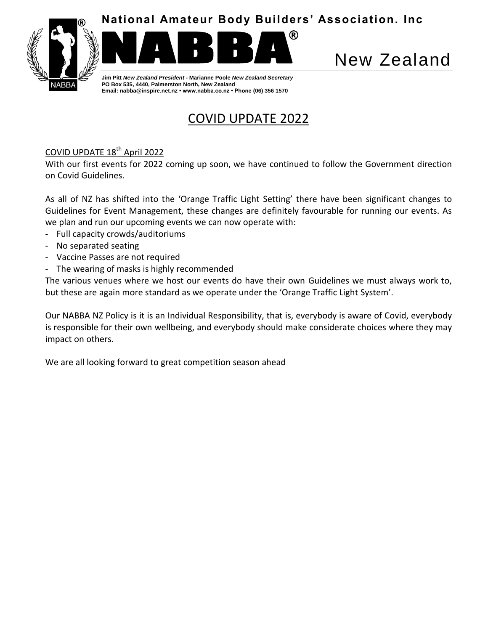

®



**Jim Pitt** *New Zealand President* **- Marianne Poole** *New Zealand Secretary* **PO Box 535, 4440, Palmerston North, New Zealand Email: nabba@inspire.net.nz • www.nabba.co.nz • Phone (06) 356 1570**

# New Zealand

COVID UPDATE 2022

# COVID UPDATE 18<sup>th</sup> April 2022

With our first events for 2022 coming up soon, we have continued to follow the Government direction on Covid Guidelines.

As all of NZ has shifted into the 'Orange Traffic Light Setting' there have been significant changes to Guidelines for Event Management, these changes are definitely favourable for running our events. As we plan and run our upcoming events we can now operate with:

- Full capacity crowds/auditoriums
- No separated seating
- Vaccine Passes are not required
- The wearing of masks is highly recommended

The various venues where we host our events do have their own Guidelines we must always work to, but these are again more standard as we operate under the 'Orange Traffic Light System'.

Our NABBA NZ Policy is it is an Individual Responsibility, that is, everybody is aware of Covid, everybody is responsible for their own wellbeing, and everybody should make considerate choices where they may impact on others.

We are all looking forward to great competition season ahead